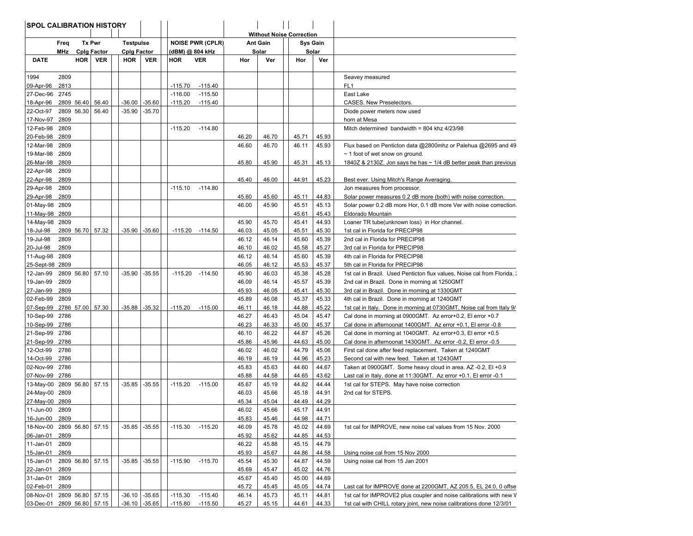| <b>Without Noise Correction</b><br>Tx Pwr<br><b>Testpulse</b><br><b>NOISE PWR (CPLR)</b><br><b>Ant Gain</b><br><b>Sys Gain</b><br>Freq<br>MHz<br><b>Cplg Factor</b><br><b>Cplg Factor</b><br>(dBM) @ 804 kHz<br>Solar<br>Solar<br><b>DATE</b><br>HOR VER<br>HOR<br><b>VER</b><br><b>HOR</b><br><b>VER</b><br>Hor<br>Ver<br>Hor<br>Ver<br>1994<br>2809<br>Seavey measured<br>$-115.40$<br>FL <sub>1</sub><br>09-Apr-96<br>2813<br>$-115.70$<br>27-Dec-96<br>2745<br>$-116.00$<br>$-115.50$<br>East Lake<br>2809 56.40<br>18-Apr-96<br>56.40<br>$-36.00$<br>$-35.60$<br>$-115.20$<br>$-115.40$<br>CASES. New Preselectors.<br>22-Oct-97<br>2809 56.30<br>56.40<br>$-35.90$<br>$-35.70$<br>Diode power meters now used<br>17-Nov-97<br>2809<br>horn at Mesa<br>12-Feb-98<br>2809<br>$-115.20$<br>$-114.80$<br>Mitch determined bandwidth = $804$ khz 4/23/98<br>20-Feb-98<br>2809<br>46.20<br>46.70<br>45.71<br>45.93<br>12-Mar-98<br>2809<br>46.60<br>46.70<br>46.11<br>45.93<br>Flux based on Penticton data @2800mhz or Palehua @2695 and 49<br>19-Mar-98<br>2809<br>$\sim$ 1 foot of wet snow on ground.<br>26-Mar-98<br>2809<br>45.80<br>45.90<br>45.13<br>1840Z & 2130Z. Jon says he has $\sim$ 1/4 dB better peak than previous<br>45.31<br>2809<br>22-Apr-98<br>22-Apr-98<br>2809<br>45.40<br>46.00<br>44.91<br>45.23<br>Best ever. Using Mitch's Range Averaging.<br>29-Apr-98<br>2809<br>$-115.10$<br>$-114.80$<br>Jon measures from processor.<br>29-Apr-98<br>2809<br>45.60<br>45.60<br>45.11<br>44.83<br>Solar power measures 0.2 dB more (both) with noise correction.<br>01-May-98 2809<br>46.00<br>45.90<br>45.13<br>Solar power 0.2 dB more Hor, 0.1 dB more Ver with noise correction.<br>45.51<br>11-May-98 2809<br>45.61<br>45.43<br>Eldorado Mountain<br>45.90<br>44.93<br>14-May-98 2809<br>45.70<br>45.41<br>Loaner TR tube(unknown loss) in Hor channel.<br>18-Jul-98<br>2809 56.70<br>57.32<br>$-35.90$<br>$-35.60$<br>$-115.20$<br>$-114.50$<br>46.03<br>45.05<br>45.51<br>45.30<br>1st cal in Florida for PRECIP98<br>19-Jul-98<br>2809<br>46.12<br>46.14<br>45.39<br>45.60<br>2nd cal in Florida for PRECIP98<br>20-Jul-98<br>2809<br>46.10<br>46.02<br>45.58<br>45.27<br>3rd cal in Florida for PRECIP98<br>2809<br>46.12<br>45.39<br>11-Aug-98<br>46.14<br>45.60<br>4th cal in Florida for PRECIP98<br>25-Sept-98 2809<br>46.05<br>46.12<br>45.53<br>45.37<br>5th cal in Florida for PRECIP98<br>2809 56.80<br>45.90<br>45.28<br>12-Jan-99<br>57.10<br>$-35.90$<br>$-35.55$<br>$-115.20$<br>46.03<br>45.38<br>1st cal in Brazil. Used Penticton flux values, Noise cal from Florida.<br>$-114.50$<br>46.09<br>45.39<br>19-Jan-99<br>2809<br>46.14<br>45.57<br>2nd cal in Brazil. Done in morning at 1250GMT<br>2809<br>45.93<br>45.30<br>27-Jan-99<br>46.05<br>45.41<br>3rd cal in Brazil. Done in morning at 1330GMT<br>02-Feb-99<br>2809<br>45.89<br>46.08<br>45.37<br>45.33<br>4th cal in Brazil. Done in morning at 1240GMT<br>$-35.32$<br>45.22<br>07-Sep-99<br>2786 57.00<br>57.30<br>$-35.88$<br>$-115.20$<br>$-115.00$<br>46.11<br>46.18<br>44.88<br>1st cal in Italy. Done in morning at 0730 GMT, Noise cal from Italy 9/<br>10-Sep-99 2786<br>46.27<br>46.43<br>45.04<br>45.47<br>Cal done in morning at 0900GMT. Az error+0.2, El error +0.7<br>10-Sep-99<br>2786<br>46.23<br>46.33<br>45.37<br>45.00<br>Cal done in afternoonat 1400GMT. Az error +0.1, El error -0.8<br>21-Sep-99 2786<br>46.10<br>45.26<br>46.22<br>44.87<br>Cal done in morning at 1040GMT. Az error+0.3, El error +0.5<br>45.86<br>45.96<br>45.00<br>21-Sep-99<br>2786<br>44.63<br>Cal done in afternoonat 1430GMT. Az error -0.2, El error -0.5<br>46.02<br>12-Oct-99<br>2786<br>46.02<br>44.79<br>45.06<br>First cal done after feed replacement. Taken at 1240GMT<br>14-Oct-99<br>2786<br>46.19<br>45.23<br>46.19<br>44.96<br>Second cal with new feed. Taken at 1243GMT<br>02-Nov-99<br>2786<br>45.83<br>45.63<br>44.60<br>44.67<br>Taken at 0900GMT. Some heavy cloud in area. AZ -0.2, EI +0.9<br>2786<br>45.88<br>44.58<br>43.62<br>07-Nov-99<br>44.65<br>Last cal in Italy, done at 11:30 GMT. Az error +0.1, El error -0.1<br>13-May-00 2809 56.80 57.15<br>$-35.85$<br>$-35.55$<br>$-115.20$<br>$-115.00$<br>45.67<br>45.19<br>44.82<br>44.44<br>1st cal for STEPS. May have noise correction<br>24-May-00 2809<br>46.03<br>44.91<br>45.66<br>45.18<br>2nd cal for STEPS.<br>45.34<br>44.29<br>27-May-00 2809<br>45.04<br>44.49<br>2809<br>46.02<br>45.66<br>45.17<br>44.91<br>11-Jun-00<br>2809<br>16-Jun-00<br>45.83<br>45.46<br>44.98<br>44.71<br>18-Nov-00<br>2809 56.80 57.15<br>$-115.20$<br>46.09<br>45.02<br>44.69<br>$-35.85$<br>$-35.55$<br>$-115.30$<br>45.78<br>1st cal for IMPROVE, new noise cal values from 15 Nov. 2000<br>06-Jan-01<br>2809<br>45.92<br>45.62<br>44.85<br>44.53<br>11-Jan-01<br>2809<br>46.22<br>45.88<br>44.79<br>45.15<br>15-Jan-01<br>2809<br>45.93<br>45.67<br>44.86<br>44.58<br>Using noise cal from 15 Nov 2000<br>15-Jan-01<br>2809 56.80<br>$-115.70$<br>45.54<br>45.30<br>44.59<br>57.15<br>-35.85<br>$-35.55$<br>$-115.90$<br>44.87<br>Using noise cal from 15 Jan 2001<br>22-Jan-01<br>2809<br>45.69<br>45.47<br>45.02<br>44.76<br>31-Jan-01<br>2809<br>45.67<br>45.40<br>45.00<br>44.69<br>02-Feb-01<br>45.72<br>2809<br>45.45<br>45.05<br>44.74<br>Last cal for IMPROVE done at 2200GMT, AZ 205.5, EL 24.0, 0 offse | <b>SPOL CALIBRATION HISTORY</b> |  |  |  |  |  |  |  |  |  |  |
|-----------------------------------------------------------------------------------------------------------------------------------------------------------------------------------------------------------------------------------------------------------------------------------------------------------------------------------------------------------------------------------------------------------------------------------------------------------------------------------------------------------------------------------------------------------------------------------------------------------------------------------------------------------------------------------------------------------------------------------------------------------------------------------------------------------------------------------------------------------------------------------------------------------------------------------------------------------------------------------------------------------------------------------------------------------------------------------------------------------------------------------------------------------------------------------------------------------------------------------------------------------------------------------------------------------------------------------------------------------------------------------------------------------------------------------------------------------------------------------------------------------------------------------------------------------------------------------------------------------------------------------------------------------------------------------------------------------------------------------------------------------------------------------------------------------------------------------------------------------------------------------------------------------------------------------------------------------------------------------------------------------------------------------------------------------------------------------------------------------------------------------------------------------------------------------------------------------------------------------------------------------------------------------------------------------------------------------------------------------------------------------------------------------------------------------------------------------------------------------------------------------------------------------------------------------------------------------------------------------------------------------------------------------------------------------------------------------------------------------------------------------------------------------------------------------------------------------------------------------------------------------------------------------------------------------------------------------------------------------------------------------------------------------------------------------------------------------------------------------------------------------------------------------------------------------------------------------------------------------------------------------------------------------------------------------------------------------------------------------------------------------------------------------------------------------------------------------------------------------------------------------------------------------------------------------------------------------------------------------------------------------------------------------------------------------------------------------------------------------------------------------------------------------------------------------------------------------------------------------------------------------------------------------------------------------------------------------------------------------------------------------------------------------------------------------------------------------------------------------------------------------------------------------------------------------------------------------------------------------------------------------------------------------------------------------------------------------------------------------------------------------------------------------------------------------------------------------------------------------------------------------------------------------------------------------------------------------------------------------------------------------------------------------------------------------------------------------------------------------------------------------------------------------------------------------------------------------------------------------------------------------------------------------------------------------------------------------------------------------------------------------------------------------------------------------------------------------------------------------------------------------------------------------------------------------------------------------------------------------------------------------------------------------------------------------------------------------------------------------------------------------------|---------------------------------|--|--|--|--|--|--|--|--|--|--|
|                                                                                                                                                                                                                                                                                                                                                                                                                                                                                                                                                                                                                                                                                                                                                                                                                                                                                                                                                                                                                                                                                                                                                                                                                                                                                                                                                                                                                                                                                                                                                                                                                                                                                                                                                                                                                                                                                                                                                                                                                                                                                                                                                                                                                                                                                                                                                                                                                                                                                                                                                                                                                                                                                                                                                                                                                                                                                                                                                                                                                                                                                                                                                                                                                                                                                                                                                                                                                                                                                                                                                                                                                                                                                                                                                                                                                                                                                                                                                                                                                                                                                                                                                                                                                                                                                                                                                                                                                                                                                                                                                                                                                                                                                                                                                                                                                                                                                                                                                                                                                                                                                                                                                                                                                                                                                                                                                                                         |                                 |  |  |  |  |  |  |  |  |  |  |
|                                                                                                                                                                                                                                                                                                                                                                                                                                                                                                                                                                                                                                                                                                                                                                                                                                                                                                                                                                                                                                                                                                                                                                                                                                                                                                                                                                                                                                                                                                                                                                                                                                                                                                                                                                                                                                                                                                                                                                                                                                                                                                                                                                                                                                                                                                                                                                                                                                                                                                                                                                                                                                                                                                                                                                                                                                                                                                                                                                                                                                                                                                                                                                                                                                                                                                                                                                                                                                                                                                                                                                                                                                                                                                                                                                                                                                                                                                                                                                                                                                                                                                                                                                                                                                                                                                                                                                                                                                                                                                                                                                                                                                                                                                                                                                                                                                                                                                                                                                                                                                                                                                                                                                                                                                                                                                                                                                                         |                                 |  |  |  |  |  |  |  |  |  |  |
|                                                                                                                                                                                                                                                                                                                                                                                                                                                                                                                                                                                                                                                                                                                                                                                                                                                                                                                                                                                                                                                                                                                                                                                                                                                                                                                                                                                                                                                                                                                                                                                                                                                                                                                                                                                                                                                                                                                                                                                                                                                                                                                                                                                                                                                                                                                                                                                                                                                                                                                                                                                                                                                                                                                                                                                                                                                                                                                                                                                                                                                                                                                                                                                                                                                                                                                                                                                                                                                                                                                                                                                                                                                                                                                                                                                                                                                                                                                                                                                                                                                                                                                                                                                                                                                                                                                                                                                                                                                                                                                                                                                                                                                                                                                                                                                                                                                                                                                                                                                                                                                                                                                                                                                                                                                                                                                                                                                         |                                 |  |  |  |  |  |  |  |  |  |  |
|                                                                                                                                                                                                                                                                                                                                                                                                                                                                                                                                                                                                                                                                                                                                                                                                                                                                                                                                                                                                                                                                                                                                                                                                                                                                                                                                                                                                                                                                                                                                                                                                                                                                                                                                                                                                                                                                                                                                                                                                                                                                                                                                                                                                                                                                                                                                                                                                                                                                                                                                                                                                                                                                                                                                                                                                                                                                                                                                                                                                                                                                                                                                                                                                                                                                                                                                                                                                                                                                                                                                                                                                                                                                                                                                                                                                                                                                                                                                                                                                                                                                                                                                                                                                                                                                                                                                                                                                                                                                                                                                                                                                                                                                                                                                                                                                                                                                                                                                                                                                                                                                                                                                                                                                                                                                                                                                                                                         |                                 |  |  |  |  |  |  |  |  |  |  |
|                                                                                                                                                                                                                                                                                                                                                                                                                                                                                                                                                                                                                                                                                                                                                                                                                                                                                                                                                                                                                                                                                                                                                                                                                                                                                                                                                                                                                                                                                                                                                                                                                                                                                                                                                                                                                                                                                                                                                                                                                                                                                                                                                                                                                                                                                                                                                                                                                                                                                                                                                                                                                                                                                                                                                                                                                                                                                                                                                                                                                                                                                                                                                                                                                                                                                                                                                                                                                                                                                                                                                                                                                                                                                                                                                                                                                                                                                                                                                                                                                                                                                                                                                                                                                                                                                                                                                                                                                                                                                                                                                                                                                                                                                                                                                                                                                                                                                                                                                                                                                                                                                                                                                                                                                                                                                                                                                                                         |                                 |  |  |  |  |  |  |  |  |  |  |
|                                                                                                                                                                                                                                                                                                                                                                                                                                                                                                                                                                                                                                                                                                                                                                                                                                                                                                                                                                                                                                                                                                                                                                                                                                                                                                                                                                                                                                                                                                                                                                                                                                                                                                                                                                                                                                                                                                                                                                                                                                                                                                                                                                                                                                                                                                                                                                                                                                                                                                                                                                                                                                                                                                                                                                                                                                                                                                                                                                                                                                                                                                                                                                                                                                                                                                                                                                                                                                                                                                                                                                                                                                                                                                                                                                                                                                                                                                                                                                                                                                                                                                                                                                                                                                                                                                                                                                                                                                                                                                                                                                                                                                                                                                                                                                                                                                                                                                                                                                                                                                                                                                                                                                                                                                                                                                                                                                                         |                                 |  |  |  |  |  |  |  |  |  |  |
|                                                                                                                                                                                                                                                                                                                                                                                                                                                                                                                                                                                                                                                                                                                                                                                                                                                                                                                                                                                                                                                                                                                                                                                                                                                                                                                                                                                                                                                                                                                                                                                                                                                                                                                                                                                                                                                                                                                                                                                                                                                                                                                                                                                                                                                                                                                                                                                                                                                                                                                                                                                                                                                                                                                                                                                                                                                                                                                                                                                                                                                                                                                                                                                                                                                                                                                                                                                                                                                                                                                                                                                                                                                                                                                                                                                                                                                                                                                                                                                                                                                                                                                                                                                                                                                                                                                                                                                                                                                                                                                                                                                                                                                                                                                                                                                                                                                                                                                                                                                                                                                                                                                                                                                                                                                                                                                                                                                         |                                 |  |  |  |  |  |  |  |  |  |  |
|                                                                                                                                                                                                                                                                                                                                                                                                                                                                                                                                                                                                                                                                                                                                                                                                                                                                                                                                                                                                                                                                                                                                                                                                                                                                                                                                                                                                                                                                                                                                                                                                                                                                                                                                                                                                                                                                                                                                                                                                                                                                                                                                                                                                                                                                                                                                                                                                                                                                                                                                                                                                                                                                                                                                                                                                                                                                                                                                                                                                                                                                                                                                                                                                                                                                                                                                                                                                                                                                                                                                                                                                                                                                                                                                                                                                                                                                                                                                                                                                                                                                                                                                                                                                                                                                                                                                                                                                                                                                                                                                                                                                                                                                                                                                                                                                                                                                                                                                                                                                                                                                                                                                                                                                                                                                                                                                                                                         |                                 |  |  |  |  |  |  |  |  |  |  |
|                                                                                                                                                                                                                                                                                                                                                                                                                                                                                                                                                                                                                                                                                                                                                                                                                                                                                                                                                                                                                                                                                                                                                                                                                                                                                                                                                                                                                                                                                                                                                                                                                                                                                                                                                                                                                                                                                                                                                                                                                                                                                                                                                                                                                                                                                                                                                                                                                                                                                                                                                                                                                                                                                                                                                                                                                                                                                                                                                                                                                                                                                                                                                                                                                                                                                                                                                                                                                                                                                                                                                                                                                                                                                                                                                                                                                                                                                                                                                                                                                                                                                                                                                                                                                                                                                                                                                                                                                                                                                                                                                                                                                                                                                                                                                                                                                                                                                                                                                                                                                                                                                                                                                                                                                                                                                                                                                                                         |                                 |  |  |  |  |  |  |  |  |  |  |
|                                                                                                                                                                                                                                                                                                                                                                                                                                                                                                                                                                                                                                                                                                                                                                                                                                                                                                                                                                                                                                                                                                                                                                                                                                                                                                                                                                                                                                                                                                                                                                                                                                                                                                                                                                                                                                                                                                                                                                                                                                                                                                                                                                                                                                                                                                                                                                                                                                                                                                                                                                                                                                                                                                                                                                                                                                                                                                                                                                                                                                                                                                                                                                                                                                                                                                                                                                                                                                                                                                                                                                                                                                                                                                                                                                                                                                                                                                                                                                                                                                                                                                                                                                                                                                                                                                                                                                                                                                                                                                                                                                                                                                                                                                                                                                                                                                                                                                                                                                                                                                                                                                                                                                                                                                                                                                                                                                                         |                                 |  |  |  |  |  |  |  |  |  |  |
|                                                                                                                                                                                                                                                                                                                                                                                                                                                                                                                                                                                                                                                                                                                                                                                                                                                                                                                                                                                                                                                                                                                                                                                                                                                                                                                                                                                                                                                                                                                                                                                                                                                                                                                                                                                                                                                                                                                                                                                                                                                                                                                                                                                                                                                                                                                                                                                                                                                                                                                                                                                                                                                                                                                                                                                                                                                                                                                                                                                                                                                                                                                                                                                                                                                                                                                                                                                                                                                                                                                                                                                                                                                                                                                                                                                                                                                                                                                                                                                                                                                                                                                                                                                                                                                                                                                                                                                                                                                                                                                                                                                                                                                                                                                                                                                                                                                                                                                                                                                                                                                                                                                                                                                                                                                                                                                                                                                         |                                 |  |  |  |  |  |  |  |  |  |  |
|                                                                                                                                                                                                                                                                                                                                                                                                                                                                                                                                                                                                                                                                                                                                                                                                                                                                                                                                                                                                                                                                                                                                                                                                                                                                                                                                                                                                                                                                                                                                                                                                                                                                                                                                                                                                                                                                                                                                                                                                                                                                                                                                                                                                                                                                                                                                                                                                                                                                                                                                                                                                                                                                                                                                                                                                                                                                                                                                                                                                                                                                                                                                                                                                                                                                                                                                                                                                                                                                                                                                                                                                                                                                                                                                                                                                                                                                                                                                                                                                                                                                                                                                                                                                                                                                                                                                                                                                                                                                                                                                                                                                                                                                                                                                                                                                                                                                                                                                                                                                                                                                                                                                                                                                                                                                                                                                                                                         |                                 |  |  |  |  |  |  |  |  |  |  |
|                                                                                                                                                                                                                                                                                                                                                                                                                                                                                                                                                                                                                                                                                                                                                                                                                                                                                                                                                                                                                                                                                                                                                                                                                                                                                                                                                                                                                                                                                                                                                                                                                                                                                                                                                                                                                                                                                                                                                                                                                                                                                                                                                                                                                                                                                                                                                                                                                                                                                                                                                                                                                                                                                                                                                                                                                                                                                                                                                                                                                                                                                                                                                                                                                                                                                                                                                                                                                                                                                                                                                                                                                                                                                                                                                                                                                                                                                                                                                                                                                                                                                                                                                                                                                                                                                                                                                                                                                                                                                                                                                                                                                                                                                                                                                                                                                                                                                                                                                                                                                                                                                                                                                                                                                                                                                                                                                                                         |                                 |  |  |  |  |  |  |  |  |  |  |
|                                                                                                                                                                                                                                                                                                                                                                                                                                                                                                                                                                                                                                                                                                                                                                                                                                                                                                                                                                                                                                                                                                                                                                                                                                                                                                                                                                                                                                                                                                                                                                                                                                                                                                                                                                                                                                                                                                                                                                                                                                                                                                                                                                                                                                                                                                                                                                                                                                                                                                                                                                                                                                                                                                                                                                                                                                                                                                                                                                                                                                                                                                                                                                                                                                                                                                                                                                                                                                                                                                                                                                                                                                                                                                                                                                                                                                                                                                                                                                                                                                                                                                                                                                                                                                                                                                                                                                                                                                                                                                                                                                                                                                                                                                                                                                                                                                                                                                                                                                                                                                                                                                                                                                                                                                                                                                                                                                                         |                                 |  |  |  |  |  |  |  |  |  |  |
|                                                                                                                                                                                                                                                                                                                                                                                                                                                                                                                                                                                                                                                                                                                                                                                                                                                                                                                                                                                                                                                                                                                                                                                                                                                                                                                                                                                                                                                                                                                                                                                                                                                                                                                                                                                                                                                                                                                                                                                                                                                                                                                                                                                                                                                                                                                                                                                                                                                                                                                                                                                                                                                                                                                                                                                                                                                                                                                                                                                                                                                                                                                                                                                                                                                                                                                                                                                                                                                                                                                                                                                                                                                                                                                                                                                                                                                                                                                                                                                                                                                                                                                                                                                                                                                                                                                                                                                                                                                                                                                                                                                                                                                                                                                                                                                                                                                                                                                                                                                                                                                                                                                                                                                                                                                                                                                                                                                         |                                 |  |  |  |  |  |  |  |  |  |  |
|                                                                                                                                                                                                                                                                                                                                                                                                                                                                                                                                                                                                                                                                                                                                                                                                                                                                                                                                                                                                                                                                                                                                                                                                                                                                                                                                                                                                                                                                                                                                                                                                                                                                                                                                                                                                                                                                                                                                                                                                                                                                                                                                                                                                                                                                                                                                                                                                                                                                                                                                                                                                                                                                                                                                                                                                                                                                                                                                                                                                                                                                                                                                                                                                                                                                                                                                                                                                                                                                                                                                                                                                                                                                                                                                                                                                                                                                                                                                                                                                                                                                                                                                                                                                                                                                                                                                                                                                                                                                                                                                                                                                                                                                                                                                                                                                                                                                                                                                                                                                                                                                                                                                                                                                                                                                                                                                                                                         |                                 |  |  |  |  |  |  |  |  |  |  |
|                                                                                                                                                                                                                                                                                                                                                                                                                                                                                                                                                                                                                                                                                                                                                                                                                                                                                                                                                                                                                                                                                                                                                                                                                                                                                                                                                                                                                                                                                                                                                                                                                                                                                                                                                                                                                                                                                                                                                                                                                                                                                                                                                                                                                                                                                                                                                                                                                                                                                                                                                                                                                                                                                                                                                                                                                                                                                                                                                                                                                                                                                                                                                                                                                                                                                                                                                                                                                                                                                                                                                                                                                                                                                                                                                                                                                                                                                                                                                                                                                                                                                                                                                                                                                                                                                                                                                                                                                                                                                                                                                                                                                                                                                                                                                                                                                                                                                                                                                                                                                                                                                                                                                                                                                                                                                                                                                                                         |                                 |  |  |  |  |  |  |  |  |  |  |
|                                                                                                                                                                                                                                                                                                                                                                                                                                                                                                                                                                                                                                                                                                                                                                                                                                                                                                                                                                                                                                                                                                                                                                                                                                                                                                                                                                                                                                                                                                                                                                                                                                                                                                                                                                                                                                                                                                                                                                                                                                                                                                                                                                                                                                                                                                                                                                                                                                                                                                                                                                                                                                                                                                                                                                                                                                                                                                                                                                                                                                                                                                                                                                                                                                                                                                                                                                                                                                                                                                                                                                                                                                                                                                                                                                                                                                                                                                                                                                                                                                                                                                                                                                                                                                                                                                                                                                                                                                                                                                                                                                                                                                                                                                                                                                                                                                                                                                                                                                                                                                                                                                                                                                                                                                                                                                                                                                                         |                                 |  |  |  |  |  |  |  |  |  |  |
|                                                                                                                                                                                                                                                                                                                                                                                                                                                                                                                                                                                                                                                                                                                                                                                                                                                                                                                                                                                                                                                                                                                                                                                                                                                                                                                                                                                                                                                                                                                                                                                                                                                                                                                                                                                                                                                                                                                                                                                                                                                                                                                                                                                                                                                                                                                                                                                                                                                                                                                                                                                                                                                                                                                                                                                                                                                                                                                                                                                                                                                                                                                                                                                                                                                                                                                                                                                                                                                                                                                                                                                                                                                                                                                                                                                                                                                                                                                                                                                                                                                                                                                                                                                                                                                                                                                                                                                                                                                                                                                                                                                                                                                                                                                                                                                                                                                                                                                                                                                                                                                                                                                                                                                                                                                                                                                                                                                         |                                 |  |  |  |  |  |  |  |  |  |  |
|                                                                                                                                                                                                                                                                                                                                                                                                                                                                                                                                                                                                                                                                                                                                                                                                                                                                                                                                                                                                                                                                                                                                                                                                                                                                                                                                                                                                                                                                                                                                                                                                                                                                                                                                                                                                                                                                                                                                                                                                                                                                                                                                                                                                                                                                                                                                                                                                                                                                                                                                                                                                                                                                                                                                                                                                                                                                                                                                                                                                                                                                                                                                                                                                                                                                                                                                                                                                                                                                                                                                                                                                                                                                                                                                                                                                                                                                                                                                                                                                                                                                                                                                                                                                                                                                                                                                                                                                                                                                                                                                                                                                                                                                                                                                                                                                                                                                                                                                                                                                                                                                                                                                                                                                                                                                                                                                                                                         |                                 |  |  |  |  |  |  |  |  |  |  |
|                                                                                                                                                                                                                                                                                                                                                                                                                                                                                                                                                                                                                                                                                                                                                                                                                                                                                                                                                                                                                                                                                                                                                                                                                                                                                                                                                                                                                                                                                                                                                                                                                                                                                                                                                                                                                                                                                                                                                                                                                                                                                                                                                                                                                                                                                                                                                                                                                                                                                                                                                                                                                                                                                                                                                                                                                                                                                                                                                                                                                                                                                                                                                                                                                                                                                                                                                                                                                                                                                                                                                                                                                                                                                                                                                                                                                                                                                                                                                                                                                                                                                                                                                                                                                                                                                                                                                                                                                                                                                                                                                                                                                                                                                                                                                                                                                                                                                                                                                                                                                                                                                                                                                                                                                                                                                                                                                                                         |                                 |  |  |  |  |  |  |  |  |  |  |
|                                                                                                                                                                                                                                                                                                                                                                                                                                                                                                                                                                                                                                                                                                                                                                                                                                                                                                                                                                                                                                                                                                                                                                                                                                                                                                                                                                                                                                                                                                                                                                                                                                                                                                                                                                                                                                                                                                                                                                                                                                                                                                                                                                                                                                                                                                                                                                                                                                                                                                                                                                                                                                                                                                                                                                                                                                                                                                                                                                                                                                                                                                                                                                                                                                                                                                                                                                                                                                                                                                                                                                                                                                                                                                                                                                                                                                                                                                                                                                                                                                                                                                                                                                                                                                                                                                                                                                                                                                                                                                                                                                                                                                                                                                                                                                                                                                                                                                                                                                                                                                                                                                                                                                                                                                                                                                                                                                                         |                                 |  |  |  |  |  |  |  |  |  |  |
|                                                                                                                                                                                                                                                                                                                                                                                                                                                                                                                                                                                                                                                                                                                                                                                                                                                                                                                                                                                                                                                                                                                                                                                                                                                                                                                                                                                                                                                                                                                                                                                                                                                                                                                                                                                                                                                                                                                                                                                                                                                                                                                                                                                                                                                                                                                                                                                                                                                                                                                                                                                                                                                                                                                                                                                                                                                                                                                                                                                                                                                                                                                                                                                                                                                                                                                                                                                                                                                                                                                                                                                                                                                                                                                                                                                                                                                                                                                                                                                                                                                                                                                                                                                                                                                                                                                                                                                                                                                                                                                                                                                                                                                                                                                                                                                                                                                                                                                                                                                                                                                                                                                                                                                                                                                                                                                                                                                         |                                 |  |  |  |  |  |  |  |  |  |  |
|                                                                                                                                                                                                                                                                                                                                                                                                                                                                                                                                                                                                                                                                                                                                                                                                                                                                                                                                                                                                                                                                                                                                                                                                                                                                                                                                                                                                                                                                                                                                                                                                                                                                                                                                                                                                                                                                                                                                                                                                                                                                                                                                                                                                                                                                                                                                                                                                                                                                                                                                                                                                                                                                                                                                                                                                                                                                                                                                                                                                                                                                                                                                                                                                                                                                                                                                                                                                                                                                                                                                                                                                                                                                                                                                                                                                                                                                                                                                                                                                                                                                                                                                                                                                                                                                                                                                                                                                                                                                                                                                                                                                                                                                                                                                                                                                                                                                                                                                                                                                                                                                                                                                                                                                                                                                                                                                                                                         |                                 |  |  |  |  |  |  |  |  |  |  |
|                                                                                                                                                                                                                                                                                                                                                                                                                                                                                                                                                                                                                                                                                                                                                                                                                                                                                                                                                                                                                                                                                                                                                                                                                                                                                                                                                                                                                                                                                                                                                                                                                                                                                                                                                                                                                                                                                                                                                                                                                                                                                                                                                                                                                                                                                                                                                                                                                                                                                                                                                                                                                                                                                                                                                                                                                                                                                                                                                                                                                                                                                                                                                                                                                                                                                                                                                                                                                                                                                                                                                                                                                                                                                                                                                                                                                                                                                                                                                                                                                                                                                                                                                                                                                                                                                                                                                                                                                                                                                                                                                                                                                                                                                                                                                                                                                                                                                                                                                                                                                                                                                                                                                                                                                                                                                                                                                                                         |                                 |  |  |  |  |  |  |  |  |  |  |
|                                                                                                                                                                                                                                                                                                                                                                                                                                                                                                                                                                                                                                                                                                                                                                                                                                                                                                                                                                                                                                                                                                                                                                                                                                                                                                                                                                                                                                                                                                                                                                                                                                                                                                                                                                                                                                                                                                                                                                                                                                                                                                                                                                                                                                                                                                                                                                                                                                                                                                                                                                                                                                                                                                                                                                                                                                                                                                                                                                                                                                                                                                                                                                                                                                                                                                                                                                                                                                                                                                                                                                                                                                                                                                                                                                                                                                                                                                                                                                                                                                                                                                                                                                                                                                                                                                                                                                                                                                                                                                                                                                                                                                                                                                                                                                                                                                                                                                                                                                                                                                                                                                                                                                                                                                                                                                                                                                                         |                                 |  |  |  |  |  |  |  |  |  |  |
|                                                                                                                                                                                                                                                                                                                                                                                                                                                                                                                                                                                                                                                                                                                                                                                                                                                                                                                                                                                                                                                                                                                                                                                                                                                                                                                                                                                                                                                                                                                                                                                                                                                                                                                                                                                                                                                                                                                                                                                                                                                                                                                                                                                                                                                                                                                                                                                                                                                                                                                                                                                                                                                                                                                                                                                                                                                                                                                                                                                                                                                                                                                                                                                                                                                                                                                                                                                                                                                                                                                                                                                                                                                                                                                                                                                                                                                                                                                                                                                                                                                                                                                                                                                                                                                                                                                                                                                                                                                                                                                                                                                                                                                                                                                                                                                                                                                                                                                                                                                                                                                                                                                                                                                                                                                                                                                                                                                         |                                 |  |  |  |  |  |  |  |  |  |  |
|                                                                                                                                                                                                                                                                                                                                                                                                                                                                                                                                                                                                                                                                                                                                                                                                                                                                                                                                                                                                                                                                                                                                                                                                                                                                                                                                                                                                                                                                                                                                                                                                                                                                                                                                                                                                                                                                                                                                                                                                                                                                                                                                                                                                                                                                                                                                                                                                                                                                                                                                                                                                                                                                                                                                                                                                                                                                                                                                                                                                                                                                                                                                                                                                                                                                                                                                                                                                                                                                                                                                                                                                                                                                                                                                                                                                                                                                                                                                                                                                                                                                                                                                                                                                                                                                                                                                                                                                                                                                                                                                                                                                                                                                                                                                                                                                                                                                                                                                                                                                                                                                                                                                                                                                                                                                                                                                                                                         |                                 |  |  |  |  |  |  |  |  |  |  |
|                                                                                                                                                                                                                                                                                                                                                                                                                                                                                                                                                                                                                                                                                                                                                                                                                                                                                                                                                                                                                                                                                                                                                                                                                                                                                                                                                                                                                                                                                                                                                                                                                                                                                                                                                                                                                                                                                                                                                                                                                                                                                                                                                                                                                                                                                                                                                                                                                                                                                                                                                                                                                                                                                                                                                                                                                                                                                                                                                                                                                                                                                                                                                                                                                                                                                                                                                                                                                                                                                                                                                                                                                                                                                                                                                                                                                                                                                                                                                                                                                                                                                                                                                                                                                                                                                                                                                                                                                                                                                                                                                                                                                                                                                                                                                                                                                                                                                                                                                                                                                                                                                                                                                                                                                                                                                                                                                                                         |                                 |  |  |  |  |  |  |  |  |  |  |
|                                                                                                                                                                                                                                                                                                                                                                                                                                                                                                                                                                                                                                                                                                                                                                                                                                                                                                                                                                                                                                                                                                                                                                                                                                                                                                                                                                                                                                                                                                                                                                                                                                                                                                                                                                                                                                                                                                                                                                                                                                                                                                                                                                                                                                                                                                                                                                                                                                                                                                                                                                                                                                                                                                                                                                                                                                                                                                                                                                                                                                                                                                                                                                                                                                                                                                                                                                                                                                                                                                                                                                                                                                                                                                                                                                                                                                                                                                                                                                                                                                                                                                                                                                                                                                                                                                                                                                                                                                                                                                                                                                                                                                                                                                                                                                                                                                                                                                                                                                                                                                                                                                                                                                                                                                                                                                                                                                                         |                                 |  |  |  |  |  |  |  |  |  |  |
|                                                                                                                                                                                                                                                                                                                                                                                                                                                                                                                                                                                                                                                                                                                                                                                                                                                                                                                                                                                                                                                                                                                                                                                                                                                                                                                                                                                                                                                                                                                                                                                                                                                                                                                                                                                                                                                                                                                                                                                                                                                                                                                                                                                                                                                                                                                                                                                                                                                                                                                                                                                                                                                                                                                                                                                                                                                                                                                                                                                                                                                                                                                                                                                                                                                                                                                                                                                                                                                                                                                                                                                                                                                                                                                                                                                                                                                                                                                                                                                                                                                                                                                                                                                                                                                                                                                                                                                                                                                                                                                                                                                                                                                                                                                                                                                                                                                                                                                                                                                                                                                                                                                                                                                                                                                                                                                                                                                         |                                 |  |  |  |  |  |  |  |  |  |  |
|                                                                                                                                                                                                                                                                                                                                                                                                                                                                                                                                                                                                                                                                                                                                                                                                                                                                                                                                                                                                                                                                                                                                                                                                                                                                                                                                                                                                                                                                                                                                                                                                                                                                                                                                                                                                                                                                                                                                                                                                                                                                                                                                                                                                                                                                                                                                                                                                                                                                                                                                                                                                                                                                                                                                                                                                                                                                                                                                                                                                                                                                                                                                                                                                                                                                                                                                                                                                                                                                                                                                                                                                                                                                                                                                                                                                                                                                                                                                                                                                                                                                                                                                                                                                                                                                                                                                                                                                                                                                                                                                                                                                                                                                                                                                                                                                                                                                                                                                                                                                                                                                                                                                                                                                                                                                                                                                                                                         |                                 |  |  |  |  |  |  |  |  |  |  |
|                                                                                                                                                                                                                                                                                                                                                                                                                                                                                                                                                                                                                                                                                                                                                                                                                                                                                                                                                                                                                                                                                                                                                                                                                                                                                                                                                                                                                                                                                                                                                                                                                                                                                                                                                                                                                                                                                                                                                                                                                                                                                                                                                                                                                                                                                                                                                                                                                                                                                                                                                                                                                                                                                                                                                                                                                                                                                                                                                                                                                                                                                                                                                                                                                                                                                                                                                                                                                                                                                                                                                                                                                                                                                                                                                                                                                                                                                                                                                                                                                                                                                                                                                                                                                                                                                                                                                                                                                                                                                                                                                                                                                                                                                                                                                                                                                                                                                                                                                                                                                                                                                                                                                                                                                                                                                                                                                                                         |                                 |  |  |  |  |  |  |  |  |  |  |
|                                                                                                                                                                                                                                                                                                                                                                                                                                                                                                                                                                                                                                                                                                                                                                                                                                                                                                                                                                                                                                                                                                                                                                                                                                                                                                                                                                                                                                                                                                                                                                                                                                                                                                                                                                                                                                                                                                                                                                                                                                                                                                                                                                                                                                                                                                                                                                                                                                                                                                                                                                                                                                                                                                                                                                                                                                                                                                                                                                                                                                                                                                                                                                                                                                                                                                                                                                                                                                                                                                                                                                                                                                                                                                                                                                                                                                                                                                                                                                                                                                                                                                                                                                                                                                                                                                                                                                                                                                                                                                                                                                                                                                                                                                                                                                                                                                                                                                                                                                                                                                                                                                                                                                                                                                                                                                                                                                                         |                                 |  |  |  |  |  |  |  |  |  |  |
|                                                                                                                                                                                                                                                                                                                                                                                                                                                                                                                                                                                                                                                                                                                                                                                                                                                                                                                                                                                                                                                                                                                                                                                                                                                                                                                                                                                                                                                                                                                                                                                                                                                                                                                                                                                                                                                                                                                                                                                                                                                                                                                                                                                                                                                                                                                                                                                                                                                                                                                                                                                                                                                                                                                                                                                                                                                                                                                                                                                                                                                                                                                                                                                                                                                                                                                                                                                                                                                                                                                                                                                                                                                                                                                                                                                                                                                                                                                                                                                                                                                                                                                                                                                                                                                                                                                                                                                                                                                                                                                                                                                                                                                                                                                                                                                                                                                                                                                                                                                                                                                                                                                                                                                                                                                                                                                                                                                         |                                 |  |  |  |  |  |  |  |  |  |  |
|                                                                                                                                                                                                                                                                                                                                                                                                                                                                                                                                                                                                                                                                                                                                                                                                                                                                                                                                                                                                                                                                                                                                                                                                                                                                                                                                                                                                                                                                                                                                                                                                                                                                                                                                                                                                                                                                                                                                                                                                                                                                                                                                                                                                                                                                                                                                                                                                                                                                                                                                                                                                                                                                                                                                                                                                                                                                                                                                                                                                                                                                                                                                                                                                                                                                                                                                                                                                                                                                                                                                                                                                                                                                                                                                                                                                                                                                                                                                                                                                                                                                                                                                                                                                                                                                                                                                                                                                                                                                                                                                                                                                                                                                                                                                                                                                                                                                                                                                                                                                                                                                                                                                                                                                                                                                                                                                                                                         |                                 |  |  |  |  |  |  |  |  |  |  |
|                                                                                                                                                                                                                                                                                                                                                                                                                                                                                                                                                                                                                                                                                                                                                                                                                                                                                                                                                                                                                                                                                                                                                                                                                                                                                                                                                                                                                                                                                                                                                                                                                                                                                                                                                                                                                                                                                                                                                                                                                                                                                                                                                                                                                                                                                                                                                                                                                                                                                                                                                                                                                                                                                                                                                                                                                                                                                                                                                                                                                                                                                                                                                                                                                                                                                                                                                                                                                                                                                                                                                                                                                                                                                                                                                                                                                                                                                                                                                                                                                                                                                                                                                                                                                                                                                                                                                                                                                                                                                                                                                                                                                                                                                                                                                                                                                                                                                                                                                                                                                                                                                                                                                                                                                                                                                                                                                                                         |                                 |  |  |  |  |  |  |  |  |  |  |
|                                                                                                                                                                                                                                                                                                                                                                                                                                                                                                                                                                                                                                                                                                                                                                                                                                                                                                                                                                                                                                                                                                                                                                                                                                                                                                                                                                                                                                                                                                                                                                                                                                                                                                                                                                                                                                                                                                                                                                                                                                                                                                                                                                                                                                                                                                                                                                                                                                                                                                                                                                                                                                                                                                                                                                                                                                                                                                                                                                                                                                                                                                                                                                                                                                                                                                                                                                                                                                                                                                                                                                                                                                                                                                                                                                                                                                                                                                                                                                                                                                                                                                                                                                                                                                                                                                                                                                                                                                                                                                                                                                                                                                                                                                                                                                                                                                                                                                                                                                                                                                                                                                                                                                                                                                                                                                                                                                                         |                                 |  |  |  |  |  |  |  |  |  |  |
|                                                                                                                                                                                                                                                                                                                                                                                                                                                                                                                                                                                                                                                                                                                                                                                                                                                                                                                                                                                                                                                                                                                                                                                                                                                                                                                                                                                                                                                                                                                                                                                                                                                                                                                                                                                                                                                                                                                                                                                                                                                                                                                                                                                                                                                                                                                                                                                                                                                                                                                                                                                                                                                                                                                                                                                                                                                                                                                                                                                                                                                                                                                                                                                                                                                                                                                                                                                                                                                                                                                                                                                                                                                                                                                                                                                                                                                                                                                                                                                                                                                                                                                                                                                                                                                                                                                                                                                                                                                                                                                                                                                                                                                                                                                                                                                                                                                                                                                                                                                                                                                                                                                                                                                                                                                                                                                                                                                         |                                 |  |  |  |  |  |  |  |  |  |  |
|                                                                                                                                                                                                                                                                                                                                                                                                                                                                                                                                                                                                                                                                                                                                                                                                                                                                                                                                                                                                                                                                                                                                                                                                                                                                                                                                                                                                                                                                                                                                                                                                                                                                                                                                                                                                                                                                                                                                                                                                                                                                                                                                                                                                                                                                                                                                                                                                                                                                                                                                                                                                                                                                                                                                                                                                                                                                                                                                                                                                                                                                                                                                                                                                                                                                                                                                                                                                                                                                                                                                                                                                                                                                                                                                                                                                                                                                                                                                                                                                                                                                                                                                                                                                                                                                                                                                                                                                                                                                                                                                                                                                                                                                                                                                                                                                                                                                                                                                                                                                                                                                                                                                                                                                                                                                                                                                                                                         |                                 |  |  |  |  |  |  |  |  |  |  |
|                                                                                                                                                                                                                                                                                                                                                                                                                                                                                                                                                                                                                                                                                                                                                                                                                                                                                                                                                                                                                                                                                                                                                                                                                                                                                                                                                                                                                                                                                                                                                                                                                                                                                                                                                                                                                                                                                                                                                                                                                                                                                                                                                                                                                                                                                                                                                                                                                                                                                                                                                                                                                                                                                                                                                                                                                                                                                                                                                                                                                                                                                                                                                                                                                                                                                                                                                                                                                                                                                                                                                                                                                                                                                                                                                                                                                                                                                                                                                                                                                                                                                                                                                                                                                                                                                                                                                                                                                                                                                                                                                                                                                                                                                                                                                                                                                                                                                                                                                                                                                                                                                                                                                                                                                                                                                                                                                                                         |                                 |  |  |  |  |  |  |  |  |  |  |
|                                                                                                                                                                                                                                                                                                                                                                                                                                                                                                                                                                                                                                                                                                                                                                                                                                                                                                                                                                                                                                                                                                                                                                                                                                                                                                                                                                                                                                                                                                                                                                                                                                                                                                                                                                                                                                                                                                                                                                                                                                                                                                                                                                                                                                                                                                                                                                                                                                                                                                                                                                                                                                                                                                                                                                                                                                                                                                                                                                                                                                                                                                                                                                                                                                                                                                                                                                                                                                                                                                                                                                                                                                                                                                                                                                                                                                                                                                                                                                                                                                                                                                                                                                                                                                                                                                                                                                                                                                                                                                                                                                                                                                                                                                                                                                                                                                                                                                                                                                                                                                                                                                                                                                                                                                                                                                                                                                                         |                                 |  |  |  |  |  |  |  |  |  |  |
|                                                                                                                                                                                                                                                                                                                                                                                                                                                                                                                                                                                                                                                                                                                                                                                                                                                                                                                                                                                                                                                                                                                                                                                                                                                                                                                                                                                                                                                                                                                                                                                                                                                                                                                                                                                                                                                                                                                                                                                                                                                                                                                                                                                                                                                                                                                                                                                                                                                                                                                                                                                                                                                                                                                                                                                                                                                                                                                                                                                                                                                                                                                                                                                                                                                                                                                                                                                                                                                                                                                                                                                                                                                                                                                                                                                                                                                                                                                                                                                                                                                                                                                                                                                                                                                                                                                                                                                                                                                                                                                                                                                                                                                                                                                                                                                                                                                                                                                                                                                                                                                                                                                                                                                                                                                                                                                                                                                         |                                 |  |  |  |  |  |  |  |  |  |  |
|                                                                                                                                                                                                                                                                                                                                                                                                                                                                                                                                                                                                                                                                                                                                                                                                                                                                                                                                                                                                                                                                                                                                                                                                                                                                                                                                                                                                                                                                                                                                                                                                                                                                                                                                                                                                                                                                                                                                                                                                                                                                                                                                                                                                                                                                                                                                                                                                                                                                                                                                                                                                                                                                                                                                                                                                                                                                                                                                                                                                                                                                                                                                                                                                                                                                                                                                                                                                                                                                                                                                                                                                                                                                                                                                                                                                                                                                                                                                                                                                                                                                                                                                                                                                                                                                                                                                                                                                                                                                                                                                                                                                                                                                                                                                                                                                                                                                                                                                                                                                                                                                                                                                                                                                                                                                                                                                                                                         |                                 |  |  |  |  |  |  |  |  |  |  |
|                                                                                                                                                                                                                                                                                                                                                                                                                                                                                                                                                                                                                                                                                                                                                                                                                                                                                                                                                                                                                                                                                                                                                                                                                                                                                                                                                                                                                                                                                                                                                                                                                                                                                                                                                                                                                                                                                                                                                                                                                                                                                                                                                                                                                                                                                                                                                                                                                                                                                                                                                                                                                                                                                                                                                                                                                                                                                                                                                                                                                                                                                                                                                                                                                                                                                                                                                                                                                                                                                                                                                                                                                                                                                                                                                                                                                                                                                                                                                                                                                                                                                                                                                                                                                                                                                                                                                                                                                                                                                                                                                                                                                                                                                                                                                                                                                                                                                                                                                                                                                                                                                                                                                                                                                                                                                                                                                                                         |                                 |  |  |  |  |  |  |  |  |  |  |
|                                                                                                                                                                                                                                                                                                                                                                                                                                                                                                                                                                                                                                                                                                                                                                                                                                                                                                                                                                                                                                                                                                                                                                                                                                                                                                                                                                                                                                                                                                                                                                                                                                                                                                                                                                                                                                                                                                                                                                                                                                                                                                                                                                                                                                                                                                                                                                                                                                                                                                                                                                                                                                                                                                                                                                                                                                                                                                                                                                                                                                                                                                                                                                                                                                                                                                                                                                                                                                                                                                                                                                                                                                                                                                                                                                                                                                                                                                                                                                                                                                                                                                                                                                                                                                                                                                                                                                                                                                                                                                                                                                                                                                                                                                                                                                                                                                                                                                                                                                                                                                                                                                                                                                                                                                                                                                                                                                                         |                                 |  |  |  |  |  |  |  |  |  |  |
|                                                                                                                                                                                                                                                                                                                                                                                                                                                                                                                                                                                                                                                                                                                                                                                                                                                                                                                                                                                                                                                                                                                                                                                                                                                                                                                                                                                                                                                                                                                                                                                                                                                                                                                                                                                                                                                                                                                                                                                                                                                                                                                                                                                                                                                                                                                                                                                                                                                                                                                                                                                                                                                                                                                                                                                                                                                                                                                                                                                                                                                                                                                                                                                                                                                                                                                                                                                                                                                                                                                                                                                                                                                                                                                                                                                                                                                                                                                                                                                                                                                                                                                                                                                                                                                                                                                                                                                                                                                                                                                                                                                                                                                                                                                                                                                                                                                                                                                                                                                                                                                                                                                                                                                                                                                                                                                                                                                         |                                 |  |  |  |  |  |  |  |  |  |  |
|                                                                                                                                                                                                                                                                                                                                                                                                                                                                                                                                                                                                                                                                                                                                                                                                                                                                                                                                                                                                                                                                                                                                                                                                                                                                                                                                                                                                                                                                                                                                                                                                                                                                                                                                                                                                                                                                                                                                                                                                                                                                                                                                                                                                                                                                                                                                                                                                                                                                                                                                                                                                                                                                                                                                                                                                                                                                                                                                                                                                                                                                                                                                                                                                                                                                                                                                                                                                                                                                                                                                                                                                                                                                                                                                                                                                                                                                                                                                                                                                                                                                                                                                                                                                                                                                                                                                                                                                                                                                                                                                                                                                                                                                                                                                                                                                                                                                                                                                                                                                                                                                                                                                                                                                                                                                                                                                                                                         |                                 |  |  |  |  |  |  |  |  |  |  |
|                                                                                                                                                                                                                                                                                                                                                                                                                                                                                                                                                                                                                                                                                                                                                                                                                                                                                                                                                                                                                                                                                                                                                                                                                                                                                                                                                                                                                                                                                                                                                                                                                                                                                                                                                                                                                                                                                                                                                                                                                                                                                                                                                                                                                                                                                                                                                                                                                                                                                                                                                                                                                                                                                                                                                                                                                                                                                                                                                                                                                                                                                                                                                                                                                                                                                                                                                                                                                                                                                                                                                                                                                                                                                                                                                                                                                                                                                                                                                                                                                                                                                                                                                                                                                                                                                                                                                                                                                                                                                                                                                                                                                                                                                                                                                                                                                                                                                                                                                                                                                                                                                                                                                                                                                                                                                                                                                                                         |                                 |  |  |  |  |  |  |  |  |  |  |
|                                                                                                                                                                                                                                                                                                                                                                                                                                                                                                                                                                                                                                                                                                                                                                                                                                                                                                                                                                                                                                                                                                                                                                                                                                                                                                                                                                                                                                                                                                                                                                                                                                                                                                                                                                                                                                                                                                                                                                                                                                                                                                                                                                                                                                                                                                                                                                                                                                                                                                                                                                                                                                                                                                                                                                                                                                                                                                                                                                                                                                                                                                                                                                                                                                                                                                                                                                                                                                                                                                                                                                                                                                                                                                                                                                                                                                                                                                                                                                                                                                                                                                                                                                                                                                                                                                                                                                                                                                                                                                                                                                                                                                                                                                                                                                                                                                                                                                                                                                                                                                                                                                                                                                                                                                                                                                                                                                                         |                                 |  |  |  |  |  |  |  |  |  |  |
|                                                                                                                                                                                                                                                                                                                                                                                                                                                                                                                                                                                                                                                                                                                                                                                                                                                                                                                                                                                                                                                                                                                                                                                                                                                                                                                                                                                                                                                                                                                                                                                                                                                                                                                                                                                                                                                                                                                                                                                                                                                                                                                                                                                                                                                                                                                                                                                                                                                                                                                                                                                                                                                                                                                                                                                                                                                                                                                                                                                                                                                                                                                                                                                                                                                                                                                                                                                                                                                                                                                                                                                                                                                                                                                                                                                                                                                                                                                                                                                                                                                                                                                                                                                                                                                                                                                                                                                                                                                                                                                                                                                                                                                                                                                                                                                                                                                                                                                                                                                                                                                                                                                                                                                                                                                                                                                                                                                         |                                 |  |  |  |  |  |  |  |  |  |  |
|                                                                                                                                                                                                                                                                                                                                                                                                                                                                                                                                                                                                                                                                                                                                                                                                                                                                                                                                                                                                                                                                                                                                                                                                                                                                                                                                                                                                                                                                                                                                                                                                                                                                                                                                                                                                                                                                                                                                                                                                                                                                                                                                                                                                                                                                                                                                                                                                                                                                                                                                                                                                                                                                                                                                                                                                                                                                                                                                                                                                                                                                                                                                                                                                                                                                                                                                                                                                                                                                                                                                                                                                                                                                                                                                                                                                                                                                                                                                                                                                                                                                                                                                                                                                                                                                                                                                                                                                                                                                                                                                                                                                                                                                                                                                                                                                                                                                                                                                                                                                                                                                                                                                                                                                                                                                                                                                                                                         |                                 |  |  |  |  |  |  |  |  |  |  |
|                                                                                                                                                                                                                                                                                                                                                                                                                                                                                                                                                                                                                                                                                                                                                                                                                                                                                                                                                                                                                                                                                                                                                                                                                                                                                                                                                                                                                                                                                                                                                                                                                                                                                                                                                                                                                                                                                                                                                                                                                                                                                                                                                                                                                                                                                                                                                                                                                                                                                                                                                                                                                                                                                                                                                                                                                                                                                                                                                                                                                                                                                                                                                                                                                                                                                                                                                                                                                                                                                                                                                                                                                                                                                                                                                                                                                                                                                                                                                                                                                                                                                                                                                                                                                                                                                                                                                                                                                                                                                                                                                                                                                                                                                                                                                                                                                                                                                                                                                                                                                                                                                                                                                                                                                                                                                                                                                                                         |                                 |  |  |  |  |  |  |  |  |  |  |
|                                                                                                                                                                                                                                                                                                                                                                                                                                                                                                                                                                                                                                                                                                                                                                                                                                                                                                                                                                                                                                                                                                                                                                                                                                                                                                                                                                                                                                                                                                                                                                                                                                                                                                                                                                                                                                                                                                                                                                                                                                                                                                                                                                                                                                                                                                                                                                                                                                                                                                                                                                                                                                                                                                                                                                                                                                                                                                                                                                                                                                                                                                                                                                                                                                                                                                                                                                                                                                                                                                                                                                                                                                                                                                                                                                                                                                                                                                                                                                                                                                                                                                                                                                                                                                                                                                                                                                                                                                                                                                                                                                                                                                                                                                                                                                                                                                                                                                                                                                                                                                                                                                                                                                                                                                                                                                                                                                                         |                                 |  |  |  |  |  |  |  |  |  |  |
| 08-Nov-01<br>2809 56.80 57.15<br>$-115.40$<br>-36.10<br>$-35.65$<br>$-115.30$<br>46.14<br>45.73<br>45.11<br>44.81<br>1st cal for IMPROVE2 plus coupler and noise calibrations with new V                                                                                                                                                                                                                                                                                                                                                                                                                                                                                                                                                                                                                                                                                                                                                                                                                                                                                                                                                                                                                                                                                                                                                                                                                                                                                                                                                                                                                                                                                                                                                                                                                                                                                                                                                                                                                                                                                                                                                                                                                                                                                                                                                                                                                                                                                                                                                                                                                                                                                                                                                                                                                                                                                                                                                                                                                                                                                                                                                                                                                                                                                                                                                                                                                                                                                                                                                                                                                                                                                                                                                                                                                                                                                                                                                                                                                                                                                                                                                                                                                                                                                                                                                                                                                                                                                                                                                                                                                                                                                                                                                                                                                                                                                                                                                                                                                                                                                                                                                                                                                                                                                                                                                                                                |                                 |  |  |  |  |  |  |  |  |  |  |
| 03-Dec-01<br>2809 56.80 57.15<br>$-36.10 - 35.65$<br>$-115.80$<br>$-115.50$<br>45.27<br>45.15<br>44.61<br>44.33<br>1st cal with CHILL rotary joint, new noise calibrations done 12/3/01                                                                                                                                                                                                                                                                                                                                                                                                                                                                                                                                                                                                                                                                                                                                                                                                                                                                                                                                                                                                                                                                                                                                                                                                                                                                                                                                                                                                                                                                                                                                                                                                                                                                                                                                                                                                                                                                                                                                                                                                                                                                                                                                                                                                                                                                                                                                                                                                                                                                                                                                                                                                                                                                                                                                                                                                                                                                                                                                                                                                                                                                                                                                                                                                                                                                                                                                                                                                                                                                                                                                                                                                                                                                                                                                                                                                                                                                                                                                                                                                                                                                                                                                                                                                                                                                                                                                                                                                                                                                                                                                                                                                                                                                                                                                                                                                                                                                                                                                                                                                                                                                                                                                                                                                 |                                 |  |  |  |  |  |  |  |  |  |  |